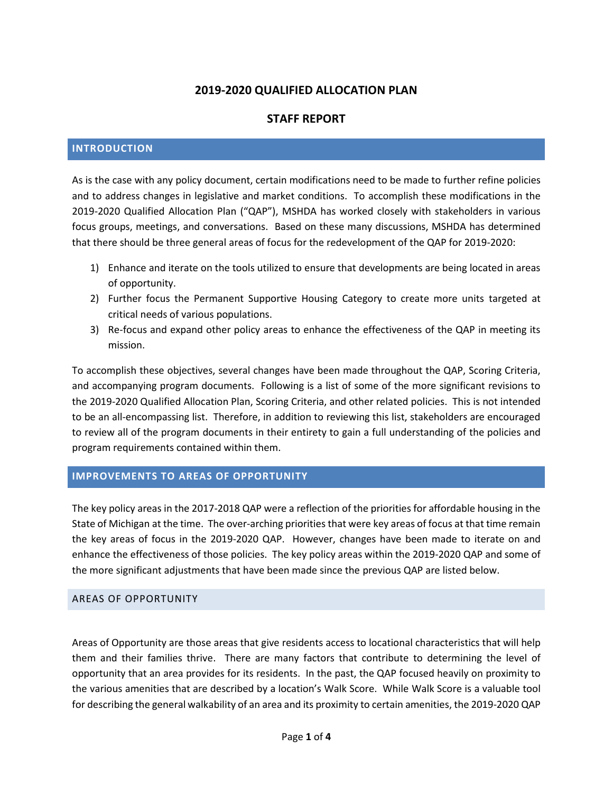# **2019-2020 QUALIFIED ALLOCATION PLAN**

# **STAFF REPORT**

#### **INTRODUCTION**

As is the case with any policy document, certain modifications need to be made to further refine policies and to address changes in legislative and market conditions. To accomplish these modifications in the 2019-2020 Qualified Allocation Plan ("QAP"), MSHDA has worked closely with stakeholders in various focus groups, meetings, and conversations. Based on these many discussions, MSHDA has determined that there should be three general areas of focus for the redevelopment of the QAP for 2019-2020:

- 1) Enhance and iterate on the tools utilized to ensure that developments are being located in areas of opportunity.
- 2) Further focus the Permanent Supportive Housing Category to create more units targeted at critical needs of various populations.
- 3) Re-focus and expand other policy areas to enhance the effectiveness of the QAP in meeting its mission.

To accomplish these objectives, several changes have been made throughout the QAP, Scoring Criteria, and accompanying program documents. Following is a list of some of the more significant revisions to the 2019-2020 Qualified Allocation Plan, Scoring Criteria, and other related policies. This is not intended to be an all-encompassing list. Therefore, in addition to reviewing this list, stakeholders are encouraged to review all of the program documents in their entirety to gain a full understanding of the policies and program requirements contained within them.

### **IMPROVEMENTS TO AREAS OF OPPORTUNITY**

The key policy areas in the 2017-2018 QAP were a reflection of the priorities for affordable housing in the State of Michigan at the time. The over-arching priorities that were key areas of focus at that time remain the key areas of focus in the 2019-2020 QAP. However, changes have been made to iterate on and enhance the effectiveness of those policies. The key policy areas within the 2019-2020 QAP and some of the more significant adjustments that have been made since the previous QAP are listed below.

#### AREAS OF OPPORTUNITY

Areas of Opportunity are those areas that give residents access to locational characteristics that will help them and their families thrive. There are many factors that contribute to determining the level of opportunity that an area provides for its residents. In the past, the QAP focused heavily on proximity to the various amenities that are described by a location's Walk Score. While Walk Score is a valuable tool for describing the general walkability of an area and its proximity to certain amenities, the 2019-2020 QAP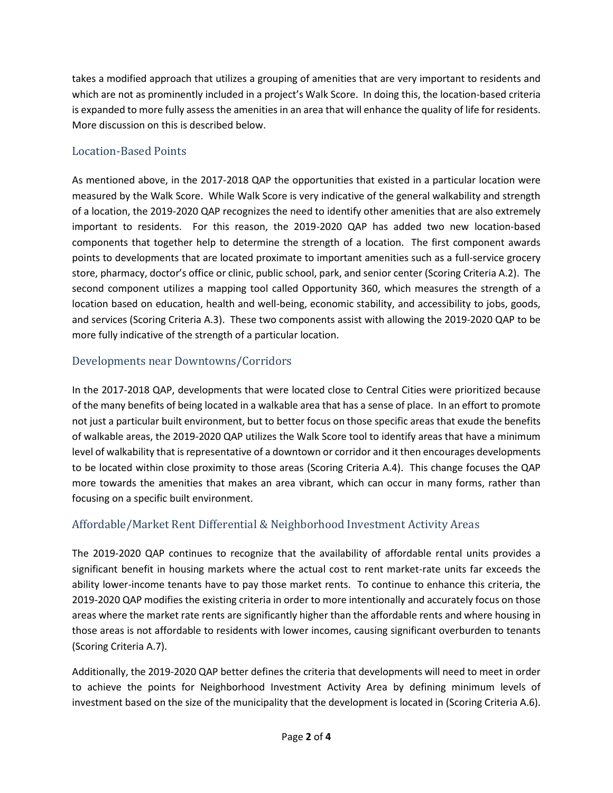takes a modified approach that utilizes a grouping of amenities that are very important to residents and which are not as prominently included in a project's Walk Score. In doing this, the location-based criteria is expanded to more fully assess the amenities in an area that will enhance the quality of life for residents. More discussion on this is described below.

# Location-Based Points

As mentioned above, in the 2017-2018 QAP the opportunities that existed in a particular location were measured by the Walk Score. While Walk Score is very indicative of the general walkability and strength of a location, the 2019-2020 QAP recognizes the need to identify other amenities that are also extremely important to residents. For this reason, the 2019-2020 QAP has added two new location-based components that together help to determine the strength of a location. The first component awards points to developments that are located proximate to important amenities such as a full-service grocery store, pharmacy, doctor's office or clinic, public school, park, and senior center (Scoring Criteria A.2). The second component utilizes a mapping tool called Opportunity 360, which measures the strength of a location based on education, health and well-being, economic stability, and accessibility to jobs, goods, and services (Scoring Criteria A.3). These two components assist with allowing the 2019-2020 QAP to be more fully indicative of the strength of a particular location.

# Developments near Downtowns/Corridors

In the 2017-2018 QAP, developments that were located close to Central Cities were prioritized because of the many benefits of being located in a walkable area that has a sense of place. In an effort to promote not just a particular built environment, but to better focus on those specific areas that exude the benefits of walkable areas, the 2019-2020 QAP utilizes the Walk Score tool to identify areas that have a minimum level of walkability that is representative of a downtown or corridor and it then encourages developments to be located within close proximity to those areas (Scoring Criteria A.4). This change focuses the QAP more towards the amenities that makes an area vibrant, which can occur in many forms, rather than focusing on a specific built environment.

# Affordable/Market Rent Differential & Neighborhood Investment Activity Areas

The 2019-2020 QAP continues to recognize that the availability of affordable rental units provides a significant benefit in housing markets where the actual cost to rent market-rate units far exceeds the ability lower-income tenants have to pay those market rents. To continue to enhance this criteria, the 2019-2020 QAP modifies the existing criteria in order to more intentionally and accurately focus on those areas where the market rate rents are significantly higher than the affordable rents and where housing in those areas is not affordable to residents with lower incomes, causing significant overburden to tenants (Scoring Criteria A.7).

Additionally, the 2019-2020 QAP better defines the criteria that developments will need to meet in order to achieve the points for Neighborhood Investment Activity Area by defining minimum levels of investment based on the size of the municipality that the development is located in (Scoring Criteria A.6).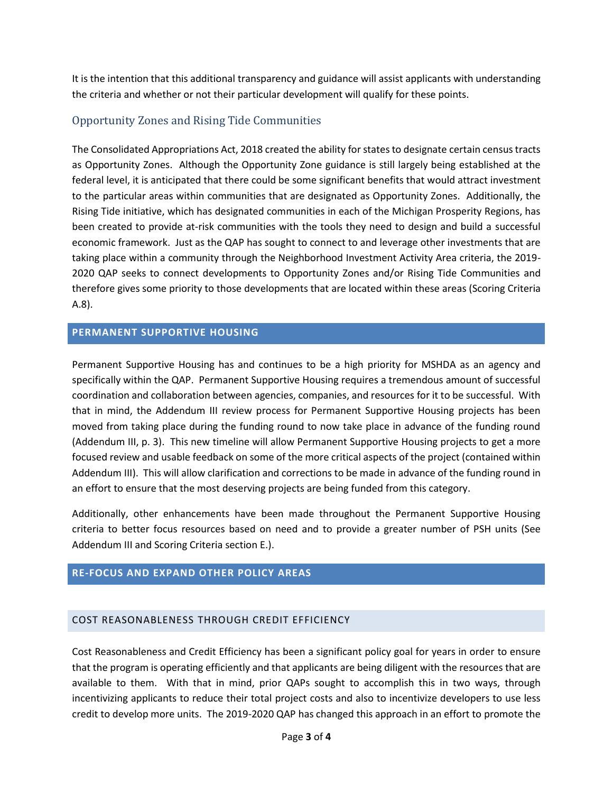It is the intention that this additional transparency and guidance will assist applicants with understanding the criteria and whether or not their particular development will qualify for these points.

# Opportunity Zones and Rising Tide Communities

The Consolidated Appropriations Act, 2018 created the ability for states to designate certain census tracts as Opportunity Zones. Although the Opportunity Zone guidance is still largely being established at the federal level, it is anticipated that there could be some significant benefits that would attract investment to the particular areas within communities that are designated as Opportunity Zones. Additionally, the Rising Tide initiative, which has designated communities in each of the Michigan Prosperity Regions, has been created to provide at-risk communities with the tools they need to design and build a successful economic framework. Just as the QAP has sought to connect to and leverage other investments that are taking place within a community through the Neighborhood Investment Activity Area criteria, the 2019- 2020 QAP seeks to connect developments to Opportunity Zones and/or Rising Tide Communities and therefore gives some priority to those developments that are located within these areas (Scoring Criteria A.8).

### **PERMANENT SUPPORTIVE HOUSING**

Permanent Supportive Housing has and continues to be a high priority for MSHDA as an agency and specifically within the QAP. Permanent Supportive Housing requires a tremendous amount of successful coordination and collaboration between agencies, companies, and resources for it to be successful. With that in mind, the Addendum III review process for Permanent Supportive Housing projects has been moved from taking place during the funding round to now take place in advance of the funding round (Addendum III, p. 3). This new timeline will allow Permanent Supportive Housing projects to get a more focused review and usable feedback on some of the more critical aspects of the project (contained within Addendum III). This will allow clarification and corrections to be made in advance of the funding round in an effort to ensure that the most deserving projects are being funded from this category.

Additionally, other enhancements have been made throughout the Permanent Supportive Housing criteria to better focus resources based on need and to provide a greater number of PSH units (See Addendum III and Scoring Criteria section E.).

## **RE-FOCUS AND EXPAND OTHER POLICY AREAS**

### COST REASONABLENESS THROUGH CREDIT EFFICIENCY

Cost Reasonableness and Credit Efficiency has been a significant policy goal for years in order to ensure that the program is operating efficiently and that applicants are being diligent with the resources that are available to them. With that in mind, prior QAPs sought to accomplish this in two ways, through incentivizing applicants to reduce their total project costs and also to incentivize developers to use less credit to develop more units. The 2019-2020 QAP has changed this approach in an effort to promote the